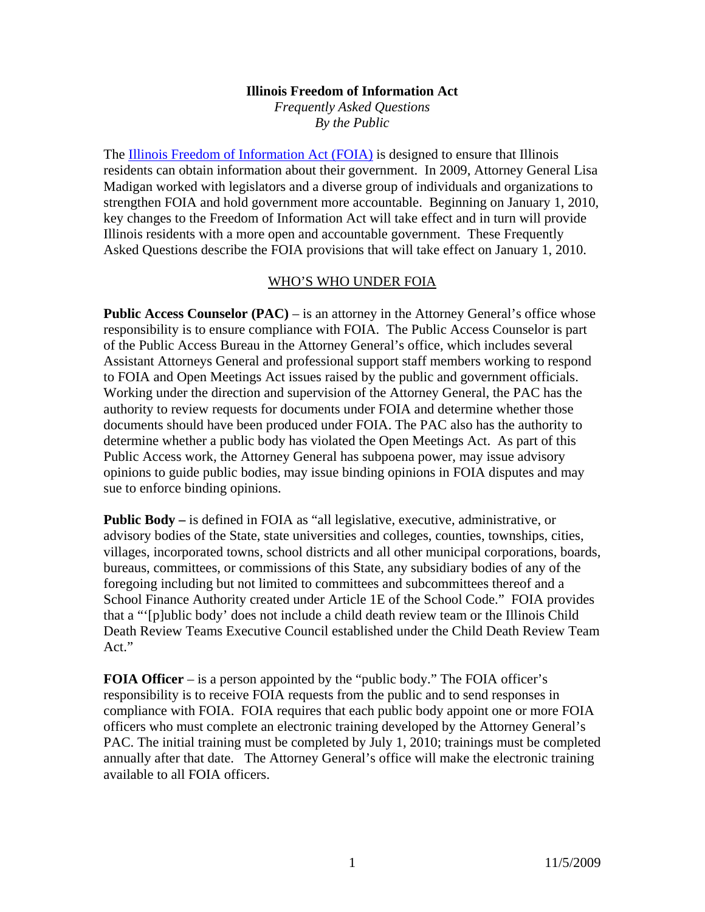#### **Illinois Freedom of Information Act**

*Frequently Asked Questions By the Public* 

The Illinois Freedom of Information Act (FOIA) is designed to ensure that Illinois residents can obtain information about their government. In 2009, Attorney General Lisa Madigan worked with legislators and a diverse group of individuals and organizations to strengthen FOIA and hold government more accountable. Beginning on January 1, 2010, key changes to the Freedom of Information Act will take effect and in turn will provide Illinois residents with a more open and accountable government. These Frequently Asked Questions describe the FOIA provisions that will take effect on January 1, 2010.

#### WHO'S WHO UNDER FOIA

**Public Access Counselor (PAC)** – is an attorney in the Attorney General's office whose responsibility is to ensure compliance with FOIA. The Public Access Counselor is part of the Public Access Bureau in the Attorney General's office, which includes several Assistant Attorneys General and professional support staff members working to respond to FOIA and Open Meetings Act issues raised by the public and government officials. Working under the direction and supervision of the Attorney General, the PAC has the authority to review requests for documents under FOIA and determine whether those documents should have been produced under FOIA. The PAC also has the authority to determine whether a public body has violated the Open Meetings Act. As part of this Public Access work, the Attorney General has subpoena power, may issue advisory opinions to guide public bodies, may issue binding opinions in FOIA disputes and may sue to enforce binding opinions.

**Public Body –** is defined in FOIA as "all legislative, executive, administrative, or advisory bodies of the State, state universities and colleges, counties, townships, cities, villages, incorporated towns, school districts and all other municipal corporations, boards, bureaus, committees, or commissions of this State, any subsidiary bodies of any of the foregoing including but not limited to committees and subcommittees thereof and a School Finance Authority created under Article 1E of the School Code." FOIA provides that a "'[p]ublic body' does not include a child death review team or the Illinois Child Death Review Teams Executive Council established under the Child Death Review Team Act."

**FOIA Officer** – is a person appointed by the "public body." The FOIA officer's responsibility is to receive FOIA requests from the public and to send responses in compliance with FOIA. FOIA requires that each public body appoint one or more FOIA officers who must complete an electronic training developed by the Attorney General's PAC. The initial training must be completed by July 1, 2010; trainings must be completed annually after that date. The Attorney General's office will make the electronic training available to all FOIA officers.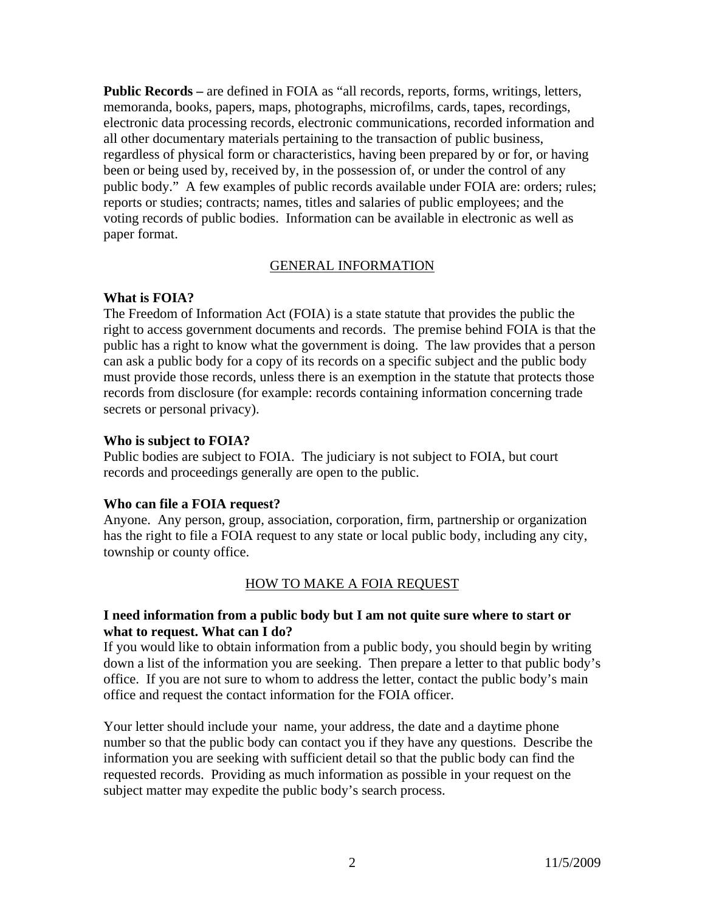**Public Records –** are defined in FOIA as "all records, reports, forms, writings, letters, memoranda, books, papers, maps, photographs, microfilms, cards, tapes, recordings, electronic data processing records, electronic communications, recorded information and all other documentary materials pertaining to the transaction of public business, regardless of physical form or characteristics, having been prepared by or for, or having been or being used by, received by, in the possession of, or under the control of any public body." A few examples of public records available under FOIA are: orders; rules; reports or studies; contracts; names, titles and salaries of public employees; and the voting records of public bodies. Information can be available in electronic as well as paper format.

#### GENERAL INFORMATION

#### **What is FOIA?**

The Freedom of Information Act (FOIA) is a state statute that provides the public the right to access government documents and records. The premise behind FOIA is that the public has a right to know what the government is doing. The law provides that a person can ask a public body for a copy of its records on a specific subject and the public body must provide those records, unless there is an exemption in the statute that protects those records from disclosure (for example: records containing information concerning trade secrets or personal privacy).

#### **Who is subject to FOIA?**

Public bodies are subject to FOIA. The judiciary is not subject to FOIA, but court records and proceedings generally are open to the public.

#### **Who can file a FOIA request?**

Anyone. Any person, group, association, corporation, firm, partnership or organization has the right to file a FOIA request to any state or local public body, including any city, township or county office.

#### HOW TO MAKE A FOIA REQUEST

#### **I need information from a public body but I am not quite sure where to start or what to request. What can I do?**

If you would like to obtain information from a public body, you should begin by writing down a list of the information you are seeking. Then prepare a letter to that public body's office. If you are not sure to whom to address the letter, contact the public body's main office and request the contact information for the FOIA officer.

Your letter should include your name, your address, the date and a daytime phone number so that the public body can contact you if they have any questions. Describe the information you are seeking with sufficient detail so that the public body can find the requested records. Providing as much information as possible in your request on the subject matter may expedite the public body's search process.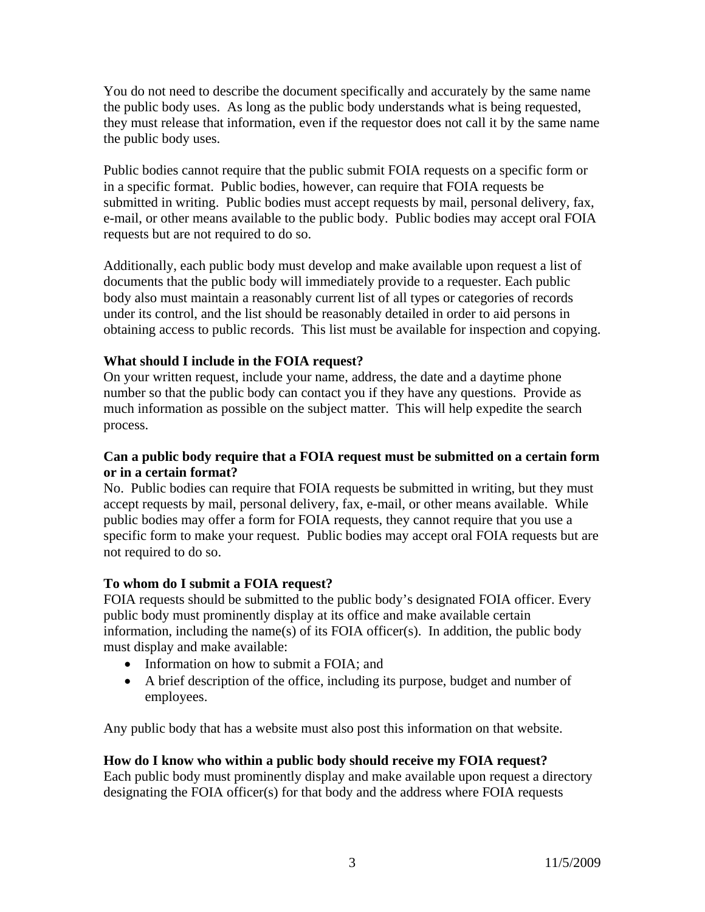You do not need to describe the document specifically and accurately by the same name the public body uses. As long as the public body understands what is being requested, they must release that information, even if the requestor does not call it by the same name the public body uses.

Public bodies cannot require that the public submit FOIA requests on a specific form or in a specific format. Public bodies, however, can require that FOIA requests be submitted in writing. Public bodies must accept requests by mail, personal delivery, fax, e-mail, or other means available to the public body. Public bodies may accept oral FOIA requests but are not required to do so.

Additionally, each public body must develop and make available upon request a list of documents that the public body will immediately provide to a requester. Each public body also must maintain a reasonably current list of all types or categories of records under its control, and the list should be reasonably detailed in order to aid persons in obtaining access to public records. This list must be available for inspection and copying.

## **What should I include in the FOIA request?**

On your written request, include your name, address, the date and a daytime phone number so that the public body can contact you if they have any questions. Provide as much information as possible on the subject matter. This will help expedite the search process.

## **Can a public body require that a FOIA request must be submitted on a certain form or in a certain format?**

No. Public bodies can require that FOIA requests be submitted in writing, but they must accept requests by mail, personal delivery, fax, e-mail, or other means available. While public bodies may offer a form for FOIA requests, they cannot require that you use a specific form to make your request. Public bodies may accept oral FOIA requests but are not required to do so.

## **To whom do I submit a FOIA request?**

FOIA requests should be submitted to the public body's designated FOIA officer. Every public body must prominently display at its office and make available certain information, including the name(s) of its FOIA officer(s). In addition, the public body must display and make available:

- Information on how to submit a FOIA; and
- A brief description of the office, including its purpose, budget and number of employees.

Any public body that has a website must also post this information on that website.

## **How do I know who within a public body should receive my FOIA request?**

Each public body must prominently display and make available upon request a directory designating the FOIA officer(s) for that body and the address where FOIA requests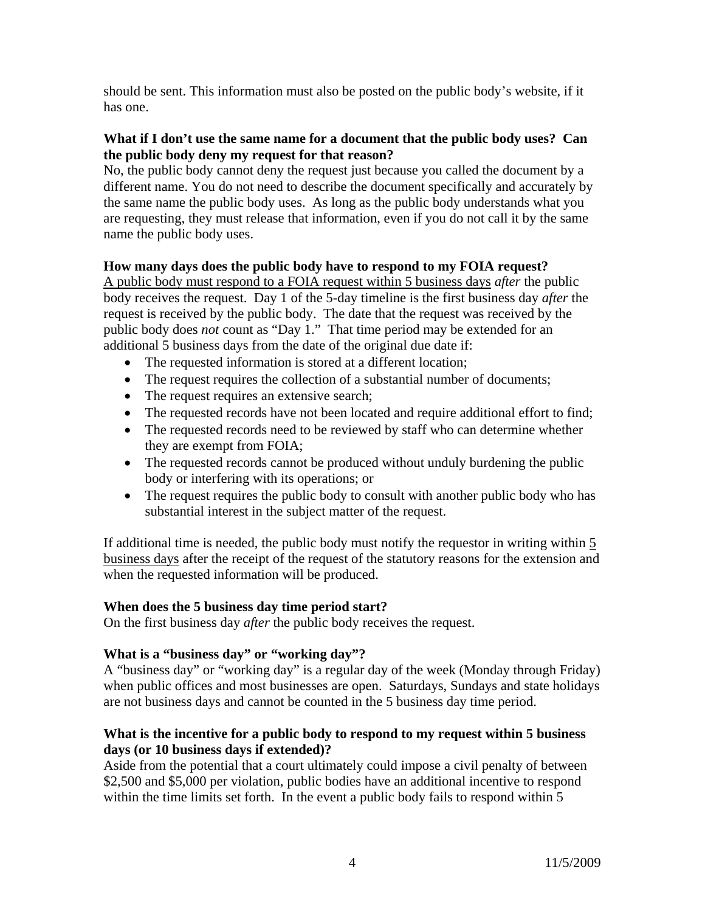should be sent. This information must also be posted on the public body's website, if it has one.

## **What if I don't use the same name for a document that the public body uses? Can the public body deny my request for that reason?**

No, the public body cannot deny the request just because you called the document by a different name. You do not need to describe the document specifically and accurately by the same name the public body uses. As long as the public body understands what you are requesting, they must release that information, even if you do not call it by the same name the public body uses.

## **How many days does the public body have to respond to my FOIA request?**

A public body must respond to a FOIA request within 5 business days *after* the public body receives the request. Day 1 of the 5-day timeline is the first business day *after* the request is received by the public body. The date that the request was received by the public body does *not* count as "Day 1." That time period may be extended for an additional 5 business days from the date of the original due date if:

- The requested information is stored at a different location;
- The request requires the collection of a substantial number of documents;
- The request requires an extensive search;
- The requested records have not been located and require additional effort to find;
- The requested records need to be reviewed by staff who can determine whether they are exempt from FOIA;
- The requested records cannot be produced without unduly burdening the public body or interfering with its operations; or
- The request requires the public body to consult with another public body who has substantial interest in the subject matter of the request.

If additional time is needed, the public body must notify the requestor in writing within 5 business days after the receipt of the request of the statutory reasons for the extension and when the requested information will be produced.

## **When does the 5 business day time period start?**

On the first business day *after* the public body receives the request.

## **What is a "business day" or "working day"?**

A "business day" or "working day" is a regular day of the week (Monday through Friday) when public offices and most businesses are open. Saturdays, Sundays and state holidays are not business days and cannot be counted in the 5 business day time period.

## **What is the incentive for a public body to respond to my request within 5 business days (or 10 business days if extended)?**

Aside from the potential that a court ultimately could impose a civil penalty of between \$2,500 and \$5,000 per violation, public bodies have an additional incentive to respond within the time limits set forth. In the event a public body fails to respond within 5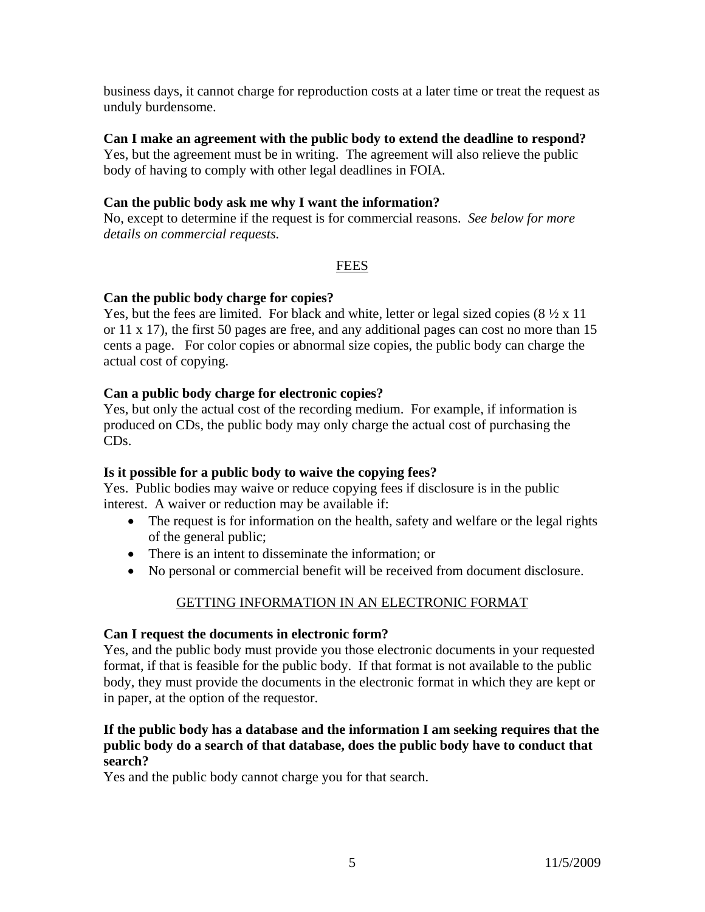business days, it cannot charge for reproduction costs at a later time or treat the request as unduly burdensome.

### **Can I make an agreement with the public body to extend the deadline to respond?**

Yes, but the agreement must be in writing. The agreement will also relieve the public body of having to comply with other legal deadlines in FOIA.

## **Can the public body ask me why I want the information?**

No, except to determine if the request is for commercial reasons. *See below for more details on commercial requests.* 

## FEES

### **Can the public body charge for copies?**

Yes, but the fees are limited. For black and white, letter or legal sized copies  $(8 \frac{1}{2} \times 11)$ or 11 x 17), the first 50 pages are free, and any additional pages can cost no more than 15 cents a page. For color copies or abnormal size copies, the public body can charge the actual cost of copying.

## **Can a public body charge for electronic copies?**

Yes, but only the actual cost of the recording medium. For example, if information is produced on CDs, the public body may only charge the actual cost of purchasing the CDs.

## **Is it possible for a public body to waive the copying fees?**

Yes. Public bodies may waive or reduce copying fees if disclosure is in the public interest. A waiver or reduction may be available if:

- The request is for information on the health, safety and welfare or the legal rights of the general public;
- There is an intent to disseminate the information; or
- No personal or commercial benefit will be received from document disclosure.

## GETTING INFORMATION IN AN ELECTRONIC FORMAT

#### **Can I request the documents in electronic form?**

Yes, and the public body must provide you those electronic documents in your requested format, if that is feasible for the public body. If that format is not available to the public body, they must provide the documents in the electronic format in which they are kept or in paper, at the option of the requestor.

## **If the public body has a database and the information I am seeking requires that the public body do a search of that database, does the public body have to conduct that search?**

Yes and the public body cannot charge you for that search.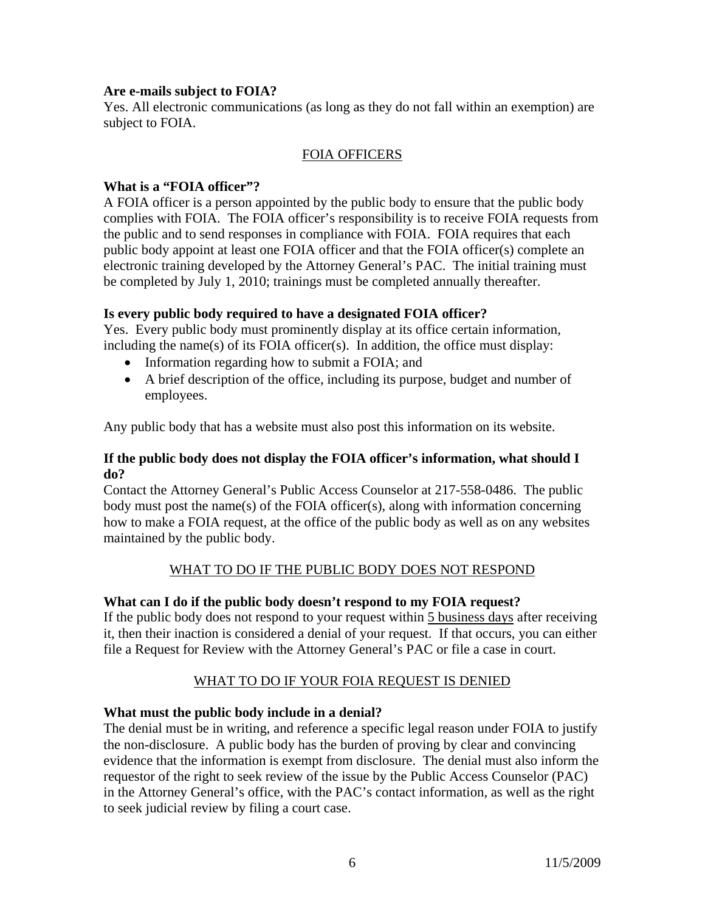#### **Are e-mails subject to FOIA?**

Yes. All electronic communications (as long as they do not fall within an exemption) are subject to FOIA.

#### FOIA OFFICERS

### **What is a "FOIA officer"?**

A FOIA officer is a person appointed by the public body to ensure that the public body complies with FOIA. The FOIA officer's responsibility is to receive FOIA requests from the public and to send responses in compliance with FOIA. FOIA requires that each public body appoint at least one FOIA officer and that the FOIA officer(s) complete an electronic training developed by the Attorney General's PAC. The initial training must be completed by July 1, 2010; trainings must be completed annually thereafter.

### **Is every public body required to have a designated FOIA officer?**

Yes. Every public body must prominently display at its office certain information, including the name(s) of its FOIA officer(s). In addition, the office must display:

- Information regarding how to submit a FOIA; and
- A brief description of the office, including its purpose, budget and number of employees.

Any public body that has a website must also post this information on its website.

#### **If the public body does not display the FOIA officer's information, what should I do?**

Contact the Attorney General's Public Access Counselor at 217-558-0486. The public body must post the name(s) of the FOIA officer(s), along with information concerning how to make a FOIA request, at the office of the public body as well as on any websites maintained by the public body.

## WHAT TO DO IF THE PUBLIC BODY DOES NOT RESPOND

## **What can I do if the public body doesn't respond to my FOIA request?**

If the public body does not respond to your request within 5 business days after receiving it, then their inaction is considered a denial of your request. If that occurs, you can either file a Request for Review with the Attorney General's PAC or file a case in court.

## WHAT TO DO IF YOUR FOIA REQUEST IS DENIED

#### **What must the public body include in a denial?**

The denial must be in writing, and reference a specific legal reason under FOIA to justify the non-disclosure. A public body has the burden of proving by clear and convincing evidence that the information is exempt from disclosure. The denial must also inform the requestor of the right to seek review of the issue by the Public Access Counselor (PAC) in the Attorney General's office, with the PAC's contact information, as well as the right to seek judicial review by filing a court case.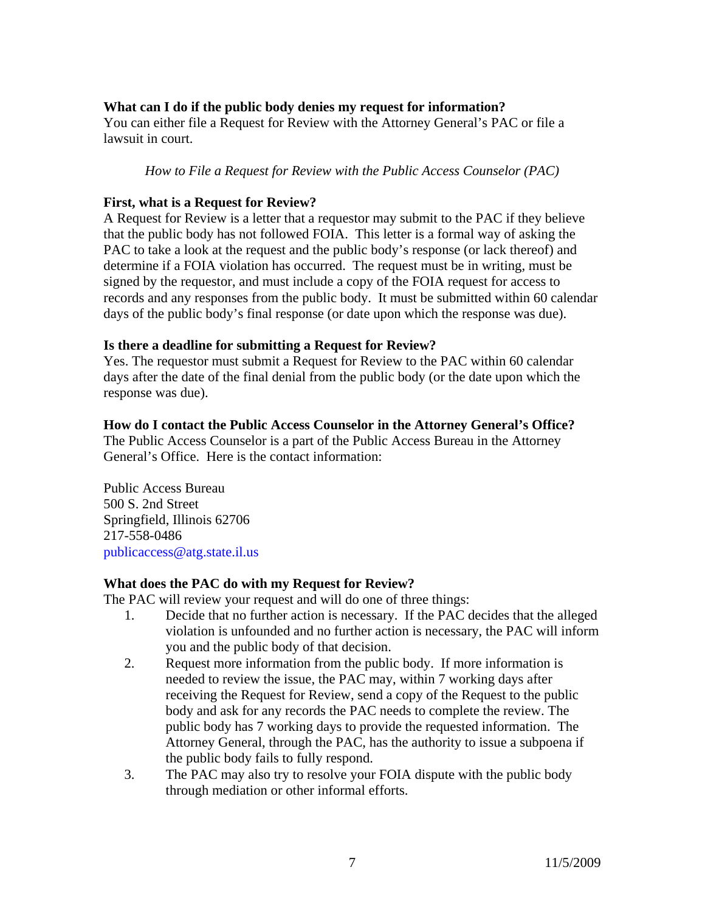## **What can I do if the public body denies my request for information?**

You can either file a Request for Review with the Attorney General's PAC or file a lawsuit in court.

*How to File a Request for Review with the Public Access Counselor (PAC)* 

## **First, what is a Request for Review?**

A Request for Review is a letter that a requestor may submit to the PAC if they believe that the public body has not followed FOIA. This letter is a formal way of asking the PAC to take a look at the request and the public body's response (or lack thereof) and determine if a FOIA violation has occurred. The request must be in writing, must be signed by the requestor, and must include a copy of the FOIA request for access to records and any responses from the public body. It must be submitted within 60 calendar days of the public body's final response (or date upon which the response was due).

### **Is there a deadline for submitting a Request for Review?**

Yes. The requestor must submit a Request for Review to the PAC within 60 calendar days after the date of the final denial from the public body (or the date upon which the response was due).

### **How do I contact the Public Access Counselor in the Attorney General's Office?**

The Public Access Counselor is a part of the Public Access Bureau in the Attorney General's Office. Here is the contact information:

Public Access Bureau 500 S. 2nd Street Springfield, Illinois 62706 217-558-0486 publicaccess@atg.state.il.us

## **What does the PAC do with my Request for Review?**

The PAC will review your request and will do one of three things:

- 1. Decide that no further action is necessary. If the PAC decides that the alleged violation is unfounded and no further action is necessary, the PAC will inform you and the public body of that decision.
- 2. Request more information from the public body. If more information is needed to review the issue, the PAC may, within 7 working days after receiving the Request for Review, send a copy of the Request to the public body and ask for any records the PAC needs to complete the review. The public body has 7 working days to provide the requested information. The Attorney General, through the PAC, has the authority to issue a subpoena if the public body fails to fully respond.
- 3. The PAC may also try to resolve your FOIA dispute with the public body through mediation or other informal efforts.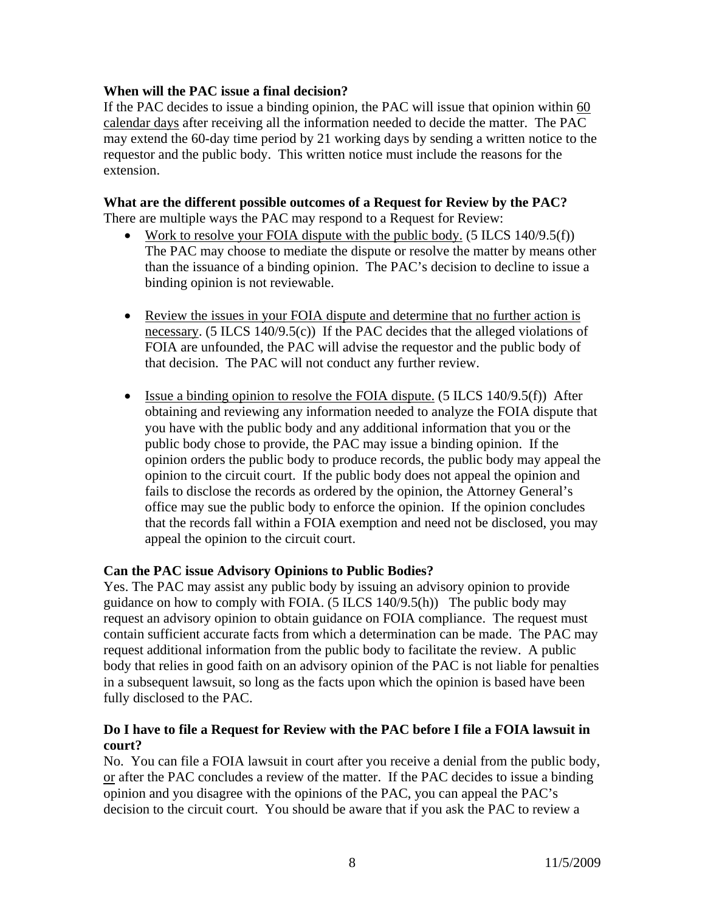### **When will the PAC issue a final decision?**

If the PAC decides to issue a binding opinion, the PAC will issue that opinion within 60 calendar days after receiving all the information needed to decide the matter. The PAC may extend the 60-day time period by 21 working days by sending a written notice to the requestor and the public body. This written notice must include the reasons for the extension.

#### **What are the different possible outcomes of a Request for Review by the PAC?**

There are multiple ways the PAC may respond to a Request for Review:

- Work to resolve your FOIA dispute with the public body.  $(5$  ILCS 140/9.5(f)) The PAC may choose to mediate the dispute or resolve the matter by means other than the issuance of a binding opinion. The PAC's decision to decline to issue a binding opinion is not reviewable.
- Review the issues in your FOIA dispute and determine that no further action is necessary. (5 ILCS 140/9.5(c)) If the PAC decides that the alleged violations of FOIA are unfounded, the PAC will advise the requestor and the public body of that decision. The PAC will not conduct any further review.
- Issue a binding opinion to resolve the FOIA dispute. (5 ILCS  $140/9.5(f)$ ) After obtaining and reviewing any information needed to analyze the FOIA dispute that you have with the public body and any additional information that you or the public body chose to provide, the PAC may issue a binding opinion. If the opinion orders the public body to produce records, the public body may appeal the opinion to the circuit court. If the public body does not appeal the opinion and fails to disclose the records as ordered by the opinion, the Attorney General's office may sue the public body to enforce the opinion. If the opinion concludes that the records fall within a FOIA exemption and need not be disclosed, you may appeal the opinion to the circuit court.

#### **Can the PAC issue Advisory Opinions to Public Bodies?**

Yes. The PAC may assist any public body by issuing an advisory opinion to provide guidance on how to comply with FOIA.  $(5$  ILCS 140/9.5(h)) The public body may request an advisory opinion to obtain guidance on FOIA compliance. The request must contain sufficient accurate facts from which a determination can be made. The PAC may request additional information from the public body to facilitate the review. A public body that relies in good faith on an advisory opinion of the PAC is not liable for penalties in a subsequent lawsuit, so long as the facts upon which the opinion is based have been fully disclosed to the PAC.

### **Do I have to file a Request for Review with the PAC before I file a FOIA lawsuit in court?**

No. You can file a FOIA lawsuit in court after you receive a denial from the public body, or after the PAC concludes a review of the matter. If the PAC decides to issue a binding opinion and you disagree with the opinions of the PAC, you can appeal the PAC's decision to the circuit court. You should be aware that if you ask the PAC to review a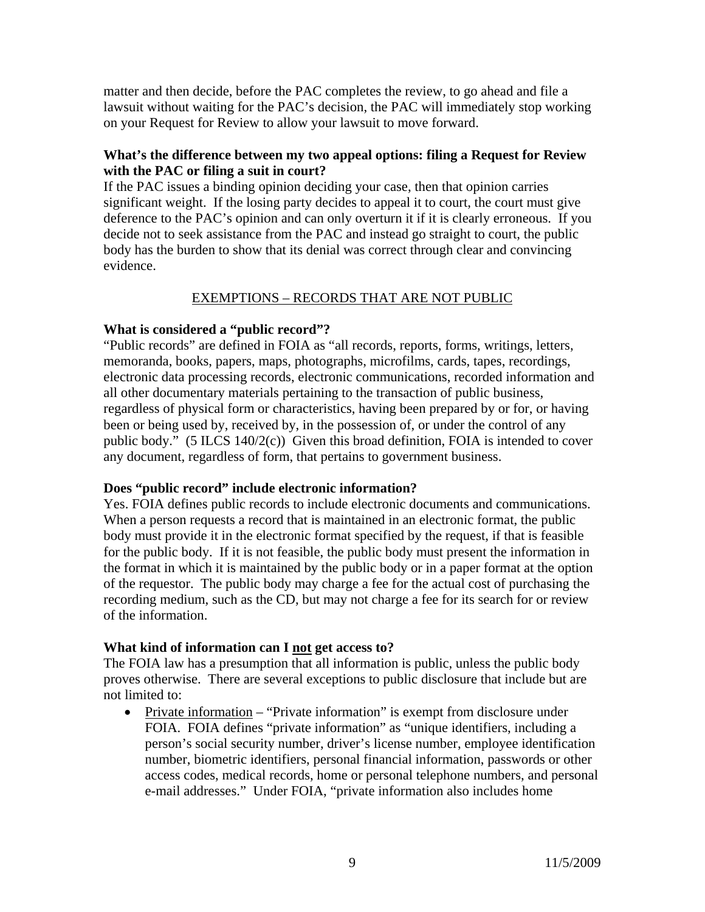matter and then decide, before the PAC completes the review, to go ahead and file a lawsuit without waiting for the PAC's decision, the PAC will immediately stop working on your Request for Review to allow your lawsuit to move forward.

## **What's the difference between my two appeal options: filing a Request for Review with the PAC or filing a suit in court?**

If the PAC issues a binding opinion deciding your case, then that opinion carries significant weight. If the losing party decides to appeal it to court, the court must give deference to the PAC's opinion and can only overturn it if it is clearly erroneous. If you decide not to seek assistance from the PAC and instead go straight to court, the public body has the burden to show that its denial was correct through clear and convincing evidence.

## EXEMPTIONS – RECORDS THAT ARE NOT PUBLIC

## **What is considered a "public record"?**

"Public records" are defined in FOIA as "all records, reports, forms, writings, letters, memoranda, books, papers, maps, photographs, microfilms, cards, tapes, recordings, electronic data processing records, electronic communications, recorded information and all other documentary materials pertaining to the transaction of public business, regardless of physical form or characteristics, having been prepared by or for, or having been or being used by, received by, in the possession of, or under the control of any public body." (5 ILCS 140/2(c)) Given this broad definition, FOIA is intended to cover any document, regardless of form, that pertains to government business.

## **Does "public record" include electronic information?**

Yes. FOIA defines public records to include electronic documents and communications. When a person requests a record that is maintained in an electronic format, the public body must provide it in the electronic format specified by the request, if that is feasible for the public body. If it is not feasible, the public body must present the information in the format in which it is maintained by the public body or in a paper format at the option of the requestor. The public body may charge a fee for the actual cost of purchasing the recording medium, such as the CD, but may not charge a fee for its search for or review of the information.

## **What kind of information can I not get access to?**

The FOIA law has a presumption that all information is public, unless the public body proves otherwise. There are several exceptions to public disclosure that include but are not limited to:

• Private information – "Private information" is exempt from disclosure under FOIA. FOIA defines "private information" as "unique identifiers, including a person's social security number, driver's license number, employee identification number, biometric identifiers, personal financial information, passwords or other access codes, medical records, home or personal telephone numbers, and personal e-mail addresses." Under FOIA, "private information also includes home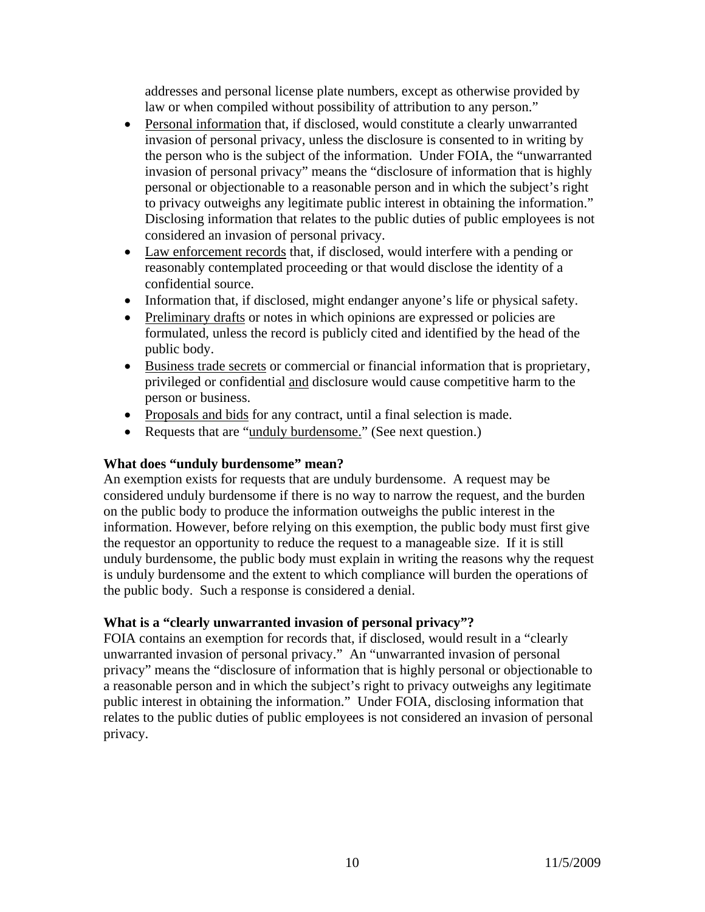addresses and personal license plate numbers, except as otherwise provided by law or when compiled without possibility of attribution to any person."

- Personal information that, if disclosed, would constitute a clearly unwarranted invasion of personal privacy, unless the disclosure is consented to in writing by the person who is the subject of the information. Under FOIA, the "unwarranted invasion of personal privacy" means the "disclosure of information that is highly personal or objectionable to a reasonable person and in which the subject's right to privacy outweighs any legitimate public interest in obtaining the information." Disclosing information that relates to the public duties of public employees is not considered an invasion of personal privacy.
- Law enforcement records that, if disclosed, would interfere with a pending or reasonably contemplated proceeding or that would disclose the identity of a confidential source.
- Information that, if disclosed, might endanger anyone's life or physical safety.
- Preliminary drafts or notes in which opinions are expressed or policies are formulated, unless the record is publicly cited and identified by the head of the public body.
- Business trade secrets or commercial or financial information that is proprietary, privileged or confidential and disclosure would cause competitive harm to the person or business.
- Proposals and bids for any contract, until a final selection is made.
- Requests that are "unduly burdensome." (See next question.)

## **What does "unduly burdensome" mean?**

An exemption exists for requests that are unduly burdensome. A request may be considered unduly burdensome if there is no way to narrow the request, and the burden on the public body to produce the information outweighs the public interest in the information. However, before relying on this exemption, the public body must first give the requestor an opportunity to reduce the request to a manageable size. If it is still unduly burdensome, the public body must explain in writing the reasons why the request is unduly burdensome and the extent to which compliance will burden the operations of the public body. Such a response is considered a denial.

## **What is a "clearly unwarranted invasion of personal privacy"?**

FOIA contains an exemption for records that, if disclosed, would result in a "clearly unwarranted invasion of personal privacy." An "unwarranted invasion of personal privacy" means the "disclosure of information that is highly personal or objectionable to a reasonable person and in which the subject's right to privacy outweighs any legitimate public interest in obtaining the information." Under FOIA, disclosing information that relates to the public duties of public employees is not considered an invasion of personal privacy.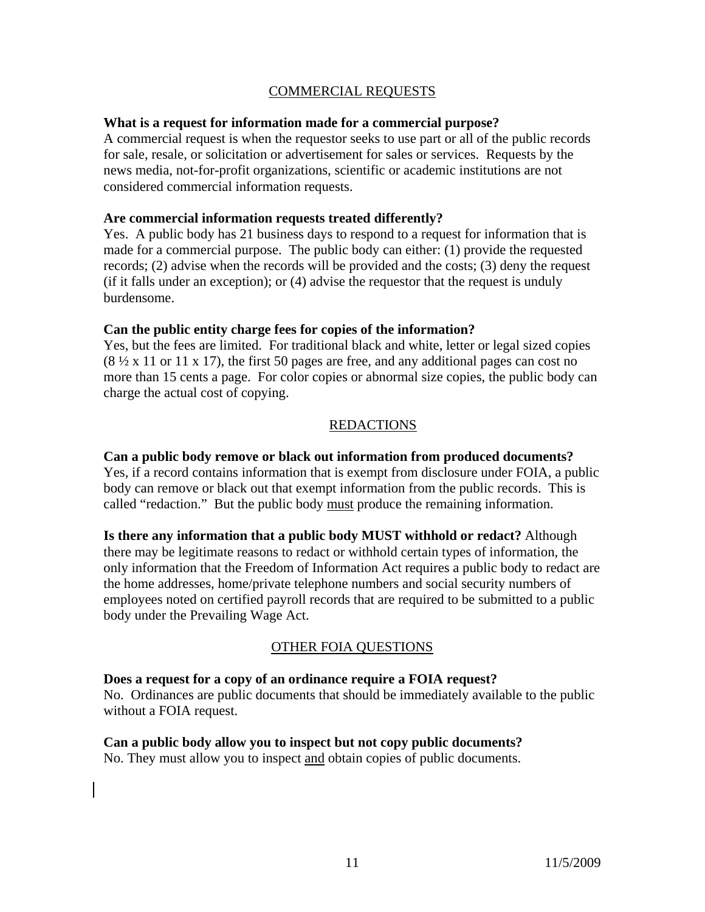## COMMERCIAL REQUESTS

#### **What is a request for information made for a commercial purpose?**

A commercial request is when the requestor seeks to use part or all of the public records for sale, resale, or solicitation or advertisement for sales or services. Requests by the news media, not-for-profit organizations, scientific or academic institutions are not considered commercial information requests.

#### **Are commercial information requests treated differently?**

Yes. A public body has 21 business days to respond to a request for information that is made for a commercial purpose. The public body can either: (1) provide the requested records; (2) advise when the records will be provided and the costs; (3) deny the request (if it falls under an exception); or (4) advise the requestor that the request is unduly burdensome.

#### **Can the public entity charge fees for copies of the information?**

Yes, but the fees are limited. For traditional black and white, letter or legal sized copies  $(8 \frac{1}{2} \times 11)$  or 11 x 17), the first 50 pages are free, and any additional pages can cost no more than 15 cents a page. For color copies or abnormal size copies, the public body can charge the actual cost of copying.

#### REDACTIONS

## **Can a public body remove or black out information from produced documents?**

Yes, if a record contains information that is exempt from disclosure under FOIA, a public body can remove or black out that exempt information from the public records. This is called "redaction." But the public body must produce the remaining information.

**Is there any information that a public body MUST withhold or redact?** Although there may be legitimate reasons to redact or withhold certain types of information, the only information that the Freedom of Information Act requires a public body to redact are the home addresses, home/private telephone numbers and social security numbers of employees noted on certified payroll records that are required to be submitted to a public body under the Prevailing Wage Act.

#### OTHER FOIA QUESTIONS

#### **Does a request for a copy of an ordinance require a FOIA request?** No. Ordinances are public documents that should be immediately available to the public without a FOIA request.

# **Can a public body allow you to inspect but not copy public documents?**

No. They must allow you to inspect and obtain copies of public documents.